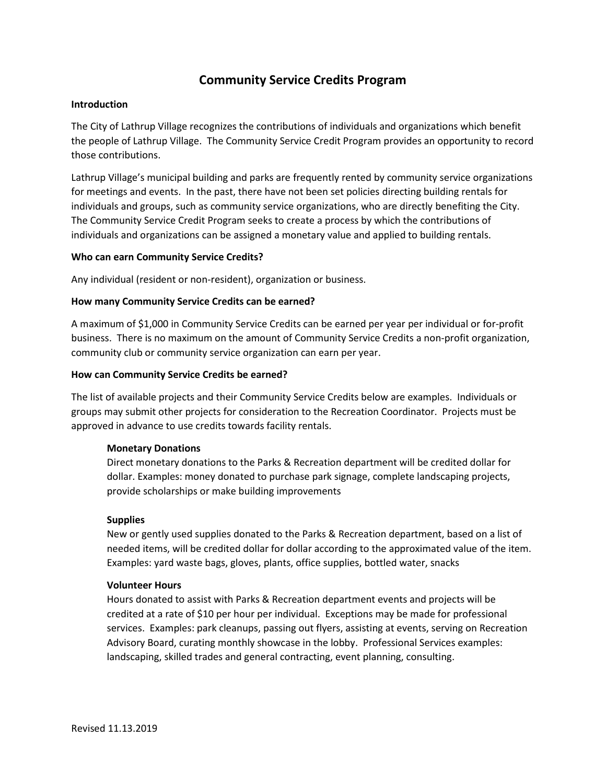### **Community Service Credits Program**

#### **Introduction**

The City of Lathrup Village recognizes the contributions of individuals and organizations which benefit the people of Lathrup Village. The Community Service Credit Program provides an opportunity to record those contributions.

Lathrup Village's municipal building and parks are frequently rented by community service organizations for meetings and events. In the past, there have not been set policies directing building rentals for individuals and groups, such as community service organizations, who are directly benefiting the City. The Community Service Credit Program seeks to create a process by which the contributions of individuals and organizations can be assigned a monetary value and applied to building rentals.

#### **Who can earn Community Service Credits?**

Any individual (resident or non-resident), organization or business.

#### **How many Community Service Credits can be earned?**

A maximum of \$1,000 in Community Service Credits can be earned per year per individual or for-profit business. There is no maximum on the amount of Community Service Credits a non-profit organization, community club or community service organization can earn per year.

#### **How can Community Service Credits be earned?**

The list of available projects and their Community Service Credits below are examples. Individuals or groups may submit other projects for consideration to the Recreation Coordinator. Projects must be approved in advance to use credits towards facility rentals.

#### **Monetary Donations**

Direct monetary donations to the Parks & Recreation department will be credited dollar for dollar. Examples: money donated to purchase park signage, complete landscaping projects, provide scholarships or make building improvements

#### **Supplies**

New or gently used supplies donated to the Parks & Recreation department, based on a list of needed items, will be credited dollar for dollar according to the approximated value of the item. Examples: yard waste bags, gloves, plants, office supplies, bottled water, snacks

#### **Volunteer Hours**

Hours donated to assist with Parks & Recreation department events and projects will be credited at a rate of \$10 per hour per individual. Exceptions may be made for professional services. Examples: park cleanups, passing out flyers, assisting at events, serving on Recreation Advisory Board, curating monthly showcase in the lobby. Professional Services examples: landscaping, skilled trades and general contracting, event planning, consulting.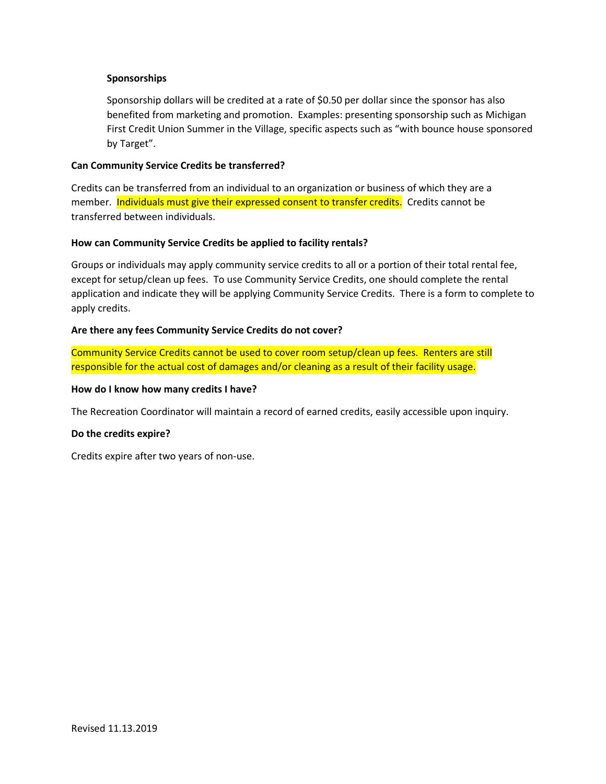#### **Sponsorships**

Sponsorship dollars will be credited at a rate of \$0.50 per dollar since the sponsor has also benefited from marketing and promotion. Examples: presenting sponsorship such as Michigan First Credit Union Summer in the Village, specific aspects such as "with bounce house sponsored by Target".

#### **Can Community Service Credits be transferred?**

Credits can be transferred from an individual to an organization or business of which they are a member. Individuals must give their expressed consent to transfer credits. Credits cannot be transferred between individuals.

#### **How can Community Service Credits be applied to facility rentals?**

Groups or individuals may apply community service credits to all or a portion of their total rental fee, except for setup/clean up fees. To use Community Service Credits, one should complete the rental application and indicate they will be applying Community Service Credits. There is a form to complete to apply credits.

#### **Are there any fees Community Service Credits do not cover?**

Community Service Credits cannot be used to cover room setup/clean up fees. Renters are still responsible for the actual cost of damages and/or cleaning as a result of their facility usage.

#### **How do I know how many credits I have?**

The Recreation Coordinator will maintain a record of earned credits, easily accessible upon inquiry.

#### **Do the credits expire?**

Credits expire after two years of non-use.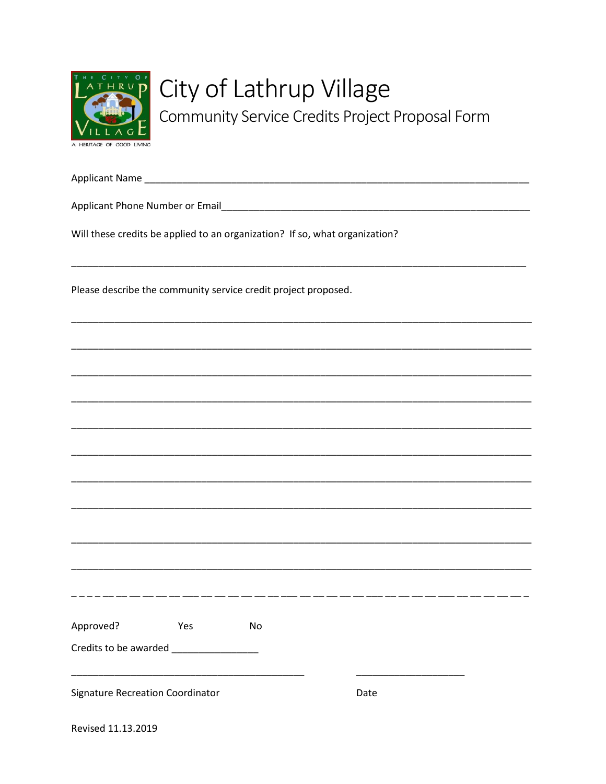

## City of Lathrup Village

Community Service Credits Project Proposal Form

Will these credits be applied to an organization? If so, what organization? Please describe the community service credit project proposed. -----------------------Approved? **Example 19 Yes** No **Signature Recreation Coordinator** Date

Revised 11.13.2019